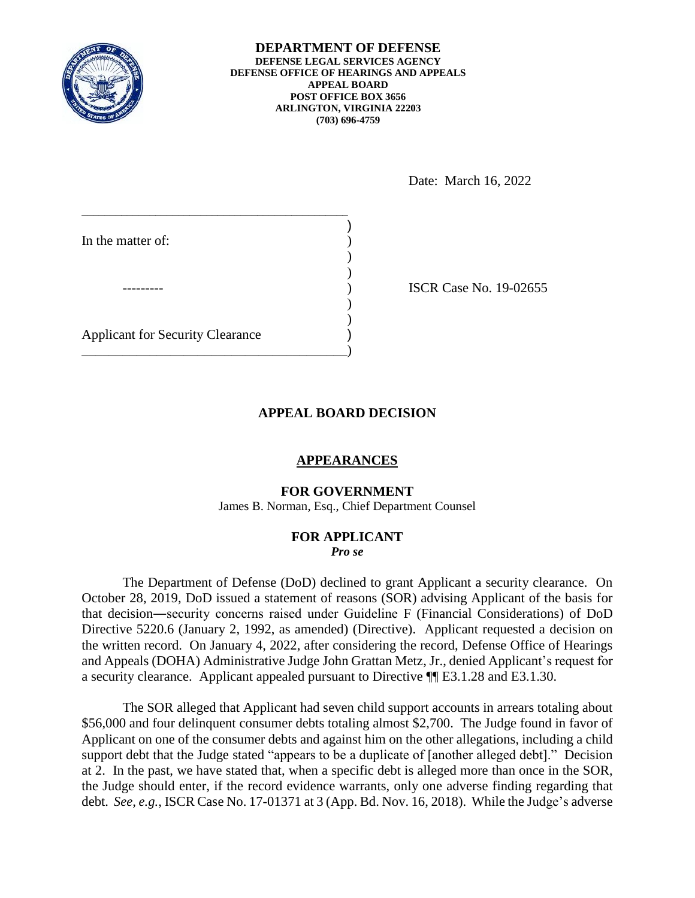

#### **DEPARTMENT OF DEFENSE DEFENSE LEGAL SERVICES AGENCY DEFENSE OFFICE OF HEARINGS AND APPEALS APPEAL BOARD POST OFFICE BOX 3656 ARLINGTON, VIRGINIA 22203 (703) 696-4759**

Date: March 16, 2022

| In the matter of:                       |  |
|-----------------------------------------|--|
|                                         |  |
|                                         |  |
| <b>Applicant for Security Clearance</b> |  |
|                                         |  |

**ISCR Case No. 19-02655** 

# **APPEAL BOARD DECISION**

## **APPEARANCES**

### **FOR GOVERNMENT**

James B. Norman, Esq., Chief Department Counsel

### **FOR APPLICANT**  *Pro se*

 The Department of Defense (DoD) declined to grant Applicant a security clearance. On October 28, 2019, DoD issued a statement of reasons (SOR) advising Applicant of the basis for that decision―security concerns raised under Guideline F (Financial Considerations) of DoD the written record. On January 4, 2022, after considering the record, Defense Office of Hearings and Appeals (DOHA) Administrative Judge John Grattan Metz, Jr., denied Applicant's request for Directive 5220.6 (January 2, 1992, as amended) (Directive). Applicant requested a decision on a security clearance. Applicant appealed pursuant to Directive ¶¶ E3.1.28 and E3.1.30.

 Applicant on one of the consumer debts and against him on the other allegations, including a child support debt that the Judge stated "appears to be a duplicate of [another alleged debt]." Decision at 2. In the past, we have stated that, when a specific debt is alleged more than once in the SOR, debt. *See, e.g.*, ISCR Case No. 17-01371 at 3 (App. Bd. Nov. 16, 2018). While the Judge's adverse The SOR alleged that Applicant had seven child support accounts in arrears totaling about \$56,000 and four delinquent consumer debts totaling almost \$2,700. The Judge found in favor of the Judge should enter, if the record evidence warrants, only one adverse finding regarding that